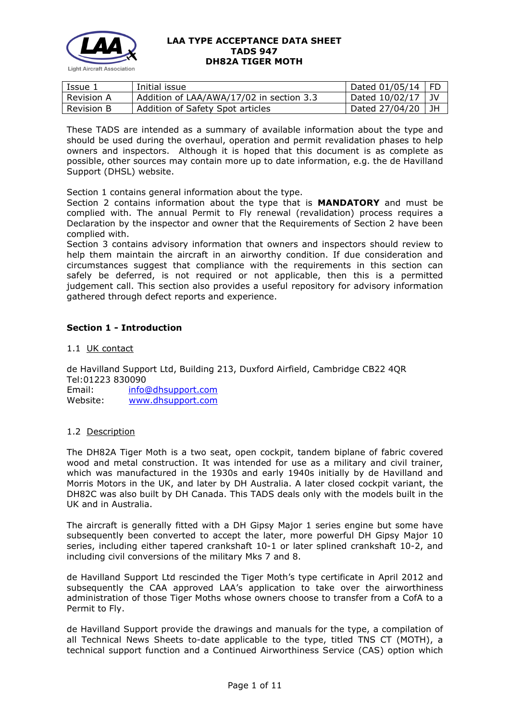

| Issue 1           | Initial issue                            | $\sqrt{2}$ Dated 01/05/14   FD |  |
|-------------------|------------------------------------------|--------------------------------|--|
| Revision A        | Addition of LAA/AWA/17/02 in section 3.3 | Dated $10/02/17$   JV          |  |
| <b>Revision B</b> | Addition of Safety Spot articles         | Dated $27/04/20$   JH          |  |

These TADS are intended as a summary of available information about the type and should be used during the overhaul, operation and permit revalidation phases to help owners and inspectors. Although it is hoped that this document is as complete as possible, other sources may contain more up to date information, e.g. the de Havilland Support (DHSL) website.

Section 1 contains general information about the type.

Section 2 contains information about the type that is **MANDATORY** and must be complied with. The annual Permit to Fly renewal (revalidation) process requires a Declaration by the inspector and owner that the Requirements of Section 2 have been complied with.

Section 3 contains advisory information that owners and inspectors should review to help them maintain the aircraft in an airworthy condition. If due consideration and circumstances suggest that compliance with the requirements in this section can safely be deferred, is not required or not applicable, then this is a permitted judgement call. This section also provides a useful repository for advisory information gathered through defect reports and experience.

# **Section 1 - Introduction**

1.1 UK contact

de Havilland Support Ltd, Building 213, Duxford Airfield, Cambridge CB22 4QR Tel:01223 830090 Email: [info@dhsupport.com](mailto:info@dhsupport.com) Website: [www.dhsupport.com](http://www.dhsupport.com/)

### 1.2 Description

The DH82A Tiger Moth is a two seat, open cockpit, tandem biplane of fabric covered wood and metal construction. It was intended for use as a military and civil trainer, which was manufactured in the 1930s and early 1940s initially by de Havilland and Morris Motors in the UK, and later by DH Australia. A later closed cockpit variant, the DH82C was also built by DH Canada. This TADS deals only with the models built in the UK and in Australia.

The aircraft is generally fitted with a DH Gipsy Major 1 series engine but some have subsequently been converted to accept the later, more powerful DH Gipsy Major 10 series, including either tapered crankshaft 10-1 or later splined crankshaft 10-2, and including civil conversions of the military Mks 7 and 8.

de Havilland Support Ltd rescinded the Tiger Moth's type certificate in April 2012 and subsequently the CAA approved LAA's application to take over the airworthiness administration of those Tiger Moths whose owners choose to transfer from a CofA to a Permit to Fly.

de Havilland Support provide the drawings and manuals for the type, a compilation of all Technical News Sheets to-date applicable to the type, titled TNS CT (MOTH), a technical support function and a Continued Airworthiness Service (CAS) option which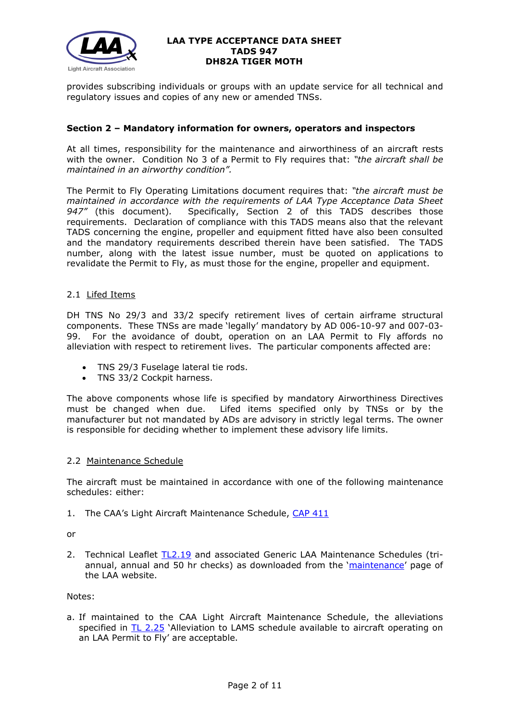

provides subscribing individuals or groups with an update service for all technical and regulatory issues and copies of any new or amended TNSs.

### **Section 2 – Mandatory information for owners, operators and inspectors**

At all times, responsibility for the maintenance and airworthiness of an aircraft rests with the owner. Condition No 3 of a Permit to Fly requires that: *"the aircraft shall be maintained in an airworthy condition".* 

The Permit to Fly Operating Limitations document requires that: *"the aircraft must be maintained in accordance with the requirements of LAA Type Acceptance Data Sheet 947"* (this document)*.* Specifically, Section 2 of this TADS describes those requirements. Declaration of compliance with this TADS means also that the relevant TADS concerning the engine, propeller and equipment fitted have also been consulted and the mandatory requirements described therein have been satisfied. The TADS number, along with the latest issue number, must be quoted on applications to revalidate the Permit to Fly, as must those for the engine, propeller and equipment.

# 2.1 Lifed Items

DH TNS No 29/3 and 33/2 specify retirement lives of certain airframe structural components. These TNSs are made 'legally' mandatory by AD 006-10-97 and 007-03- 99. For the avoidance of doubt, operation on an LAA Permit to Fly affords no alleviation with respect to retirement lives. The particular components affected are:

- TNS 29/3 Fuselage lateral tie rods.
- TNS 33/2 Cockpit harness.

The above components whose life is specified by mandatory Airworthiness Directives must be changed when due. Lifed items specified only by TNSs or by the manufacturer but not mandated by ADs are advisory in strictly legal terms. The owner is responsible for deciding whether to implement these advisory life limits.

### 2.2 Maintenance Schedule

The aircraft must be maintained in accordance with one of the following maintenance schedules: either:

1. The CAA's Light Aircraft Maintenance Schedule, [CAP 411](http://www.caa.co.uk/docs/33/CAP411.PDF)

or

2. Technical Leaflet [TL2.19](http://www.lightaircraftassociation.co.uk/engineering/TechnicalLeaflets/Operating%20An%20Aircraft/TL%202.19%20The%20LAA%20Generic%20Maintenance%20Schedule.pdf) and associated Generic LAA Maintenance Schedules (tri-annual, annual and 50 hr checks) as downloaded from the ['maintenance'](http://www.lightaircraftassociation.co.uk/engineering/Maintenance/Aircraft_Maintenance.html) page of the LAA website.

Notes:

a. If maintained to the CAA Light Aircraft Maintenance Schedule, the alleviations specified in [TL 2.25](http://www.lightaircraftassociation.co.uk/engineering/TechnicalLeaflets/Operating%20An%20Aircraft/TL%202.25%20Alleviations%20to%20LAMS%20schedule.pdf) 'Alleviation to LAMS schedule available to aircraft operating on an LAA Permit to Fly' are acceptable.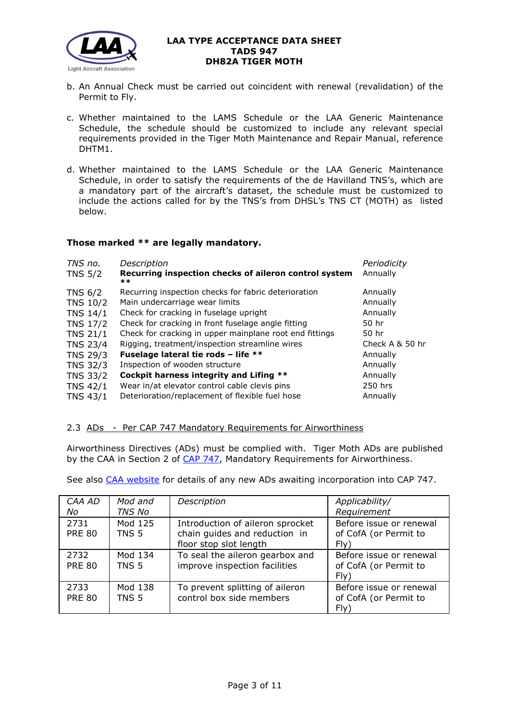

- b. An Annual Check must be carried out coincident with renewal (revalidation) of the Permit to Fly.
- c. Whether maintained to the LAMS Schedule or the LAA Generic Maintenance Schedule, the schedule should be customized to include any relevant special requirements provided in the Tiger Moth Maintenance and Repair Manual, reference DHTM1.
- d. Whether maintained to the LAMS Schedule or the LAA Generic Maintenance Schedule, in order to satisfy the requirements of the de Havilland TNS's, which are a mandatory part of the aircraft's dataset, the schedule must be customized to include the actions called for by the TNS's from DHSL's TNS CT (MOTH) as listed below.

# **Those marked \*\* are legally mandatory.**

| TNS no.<br><b>TNS 5/2</b> | Description<br>Recurring inspection checks of aileron control system<br>$***$ | Periodicity<br>Annually |
|---------------------------|-------------------------------------------------------------------------------|-------------------------|
| <b>TNS 6/2</b>            | Recurring inspection checks for fabric deterioration                          | Annually                |
| <b>TNS 10/2</b>           | Main undercarriage wear limits                                                | Annually                |
| <b>TNS 14/1</b>           | Check for cracking in fuselage upright                                        | Annually                |
| <b>TNS 17/2</b>           | Check for cracking in front fuselage angle fitting                            | 50 hr                   |
| <b>TNS 21/1</b>           | Check for cracking in upper mainplane root end fittings                       | 50 hr                   |
| <b>TNS 23/4</b>           | Rigging, treatment/inspection streamline wires                                | Check A & 50 hr         |
| <b>TNS 29/3</b>           | Fuselage lateral tie rods - life **                                           | Annually                |
| <b>TNS 32/3</b>           | Inspection of wooden structure                                                | Annually                |
| TNS 33/2                  | Cockpit harness integrity and Lifing **                                       | Annually                |
| <b>TNS 42/1</b>           | Wear in/at elevator control cable clevis pins                                 | 250 hrs                 |
| <b>TNS 43/1</b>           | Deterioration/replacement of flexible fuel hose                               | Annually                |

# 2.3 ADs - Per CAP 747 Mandatory Requirements for Airworthiness

Airworthiness Directives (ADs) must be complied with. Tiger Moth ADs are published by the CAA in Section 2 of [CAP 747,](http://www.caa.co.uk/docs/33/CAP747.pdf) Mandatory Requirements for Airworthiness.

See also [CAA website](http://www.caa.co.uk/application.aspx?catid=33&pagetype=65&appid=11&mode=list&type=sercat&id=58) for details of any new ADs awaiting incorporation into CAP 747.

| CAA AD<br>No          | Mod and<br><b>TNS No</b>    | Description                                                                                 | Applicability/<br>Requirement                            |
|-----------------------|-----------------------------|---------------------------------------------------------------------------------------------|----------------------------------------------------------|
| 2731<br><b>PRE 80</b> | Mod 125<br>TNS <sub>5</sub> | Introduction of aileron sprocket<br>chain guides and reduction in<br>floor stop slot length | Before issue or renewal<br>of CofA (or Permit to<br>Fly) |
| 2732<br><b>PRE 80</b> | Mod 134<br>TNS <sub>5</sub> | To seal the aileron gearbox and<br>improve inspection facilities                            | Before issue or renewal<br>of CofA (or Permit to<br>Fly) |
| 2733<br><b>PRE 80</b> | Mod 138<br>TNS 5            | To prevent splitting of aileron<br>control box side members                                 | Before issue or renewal<br>of CofA (or Permit to<br>Fly) |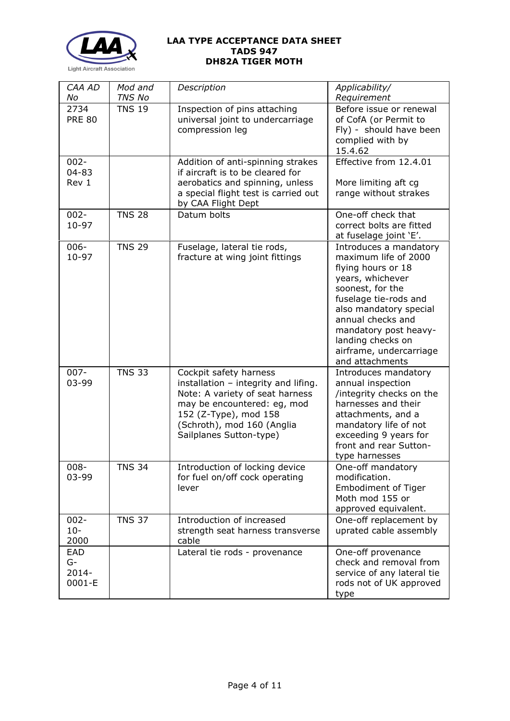

| CAA AD<br>No                    | Mod and<br><b>TNS No</b> | Description                                                                                                                                                                                                        | Applicability/<br>Requirement                                                                                                                                                                                                                                                    |
|---------------------------------|--------------------------|--------------------------------------------------------------------------------------------------------------------------------------------------------------------------------------------------------------------|----------------------------------------------------------------------------------------------------------------------------------------------------------------------------------------------------------------------------------------------------------------------------------|
| 2734<br><b>PRE 80</b>           | <b>TNS 19</b>            | Inspection of pins attaching<br>universal joint to undercarriage<br>compression leg                                                                                                                                | Before issue or renewal<br>of CofA (or Permit to<br>Fly) - should have been<br>complied with by<br>15.4.62                                                                                                                                                                       |
| $002 -$<br>$04 - 83$<br>Rev 1   |                          | Addition of anti-spinning strakes<br>if aircraft is to be cleared for<br>aerobatics and spinning, unless<br>a special flight test is carried out<br>by CAA Flight Dept                                             | Effective from 12.4.01<br>More limiting aft cg<br>range without strakes                                                                                                                                                                                                          |
| $002 -$<br>10-97                | <b>TNS 28</b>            | Datum bolts                                                                                                                                                                                                        | One-off check that<br>correct bolts are fitted<br>at fuselage joint 'E'.                                                                                                                                                                                                         |
| $006 -$<br>10-97                | <b>TNS 29</b>            | Fuselage, lateral tie rods,<br>fracture at wing joint fittings                                                                                                                                                     | Introduces a mandatory<br>maximum life of 2000<br>flying hours or 18<br>years, whichever<br>soonest, for the<br>fuselage tie-rods and<br>also mandatory special<br>annual checks and<br>mandatory post heavy-<br>landing checks on<br>airframe, undercarriage<br>and attachments |
| $007 -$<br>03-99                | <b>TNS 33</b>            | Cockpit safety harness<br>installation - integrity and lifing.<br>Note: A variety of seat harness<br>may be encountered: eg, mod<br>152 (Z-Type), mod 158<br>(Schroth), mod 160 (Anglia<br>Sailplanes Sutton-type) | Introduces mandatory<br>annual inspection<br>/integrity checks on the<br>harnesses and their<br>attachments, and a<br>mandatory life of not<br>exceeding 9 years for<br>front and rear Sutton-<br>type harnesses                                                                 |
| $008 -$<br>03-99                | <b>TNS 34</b>            | Introduction of locking device<br>for fuel on/off cock operating<br>lever                                                                                                                                          | One-off mandatory<br>modification.<br><b>Embodiment of Tiger</b><br>Moth mod 155 or<br>approved equivalent.                                                                                                                                                                      |
| $002 -$<br>$10 -$<br>2000       | <b>TNS 37</b>            | Introduction of increased<br>strength seat harness transverse<br>cable                                                                                                                                             | One-off replacement by<br>uprated cable assembly                                                                                                                                                                                                                                 |
| EAD<br>G-<br>$2014 -$<br>0001-E |                          | Lateral tie rods - provenance                                                                                                                                                                                      | One-off provenance<br>check and removal from<br>service of any lateral tie<br>rods not of UK approved<br>type                                                                                                                                                                    |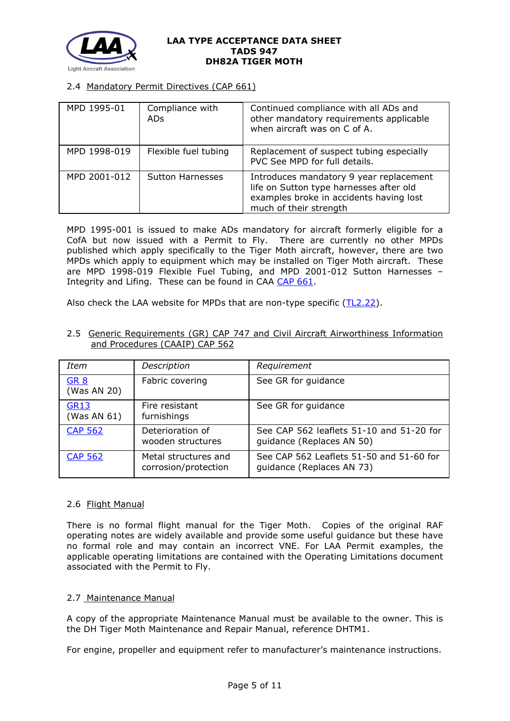

# 2.4 Mandatory Permit Directives (CAP 661)

| MPD 1995-01  | Compliance with<br>ADs. | Continued compliance with all ADs and<br>other mandatory requirements applicable<br>when aircraft was on C of A.                                        |
|--------------|-------------------------|---------------------------------------------------------------------------------------------------------------------------------------------------------|
| MPD 1998-019 | Flexible fuel tubing    | Replacement of suspect tubing especially<br>PVC See MPD for full details.                                                                               |
| MPD 2001-012 | <b>Sutton Harnesses</b> | Introduces mandatory 9 year replacement<br>life on Sutton type harnesses after old<br>examples broke in accidents having lost<br>much of their strength |

MPD 1995-001 is issued to make ADs mandatory for aircraft formerly eligible for a CofA but now issued with a Permit to Fly. There are currently no other MPDs published which apply specifically to the Tiger Moth aircraft, however, there are two MPDs which apply to equipment which may be installed on Tiger Moth aircraft. These are MPD 1998-019 Flexible Fuel Tubing, and MPD 2001-012 Sutton Harnesses – Integrity and Lifing. These can be found in CAA [CAP 661.](http://www.caa.co.uk/docs/33/CAP661.PDF)

Also check the LAA website for MPDs that are non-type specific  $(TL2.22)$ .

2.5 Generic Requirements (GR) CAP 747 and Civil Aircraft Airworthiness Information and Procedures (CAAIP) CAP 562

| Item                       | Description                                  | Requirement                                                           |
|----------------------------|----------------------------------------------|-----------------------------------------------------------------------|
| <b>GR 8</b><br>(Was AN 20) | Fabric covering                              | See GR for guidance                                                   |
| <b>GR13</b><br>(Was AN 61) | Fire resistant<br>furnishings                | See GR for guidance                                                   |
| <b>CAP 562</b>             | Deterioration of<br>wooden structures        | See CAP 562 leaflets 51-10 and 51-20 for<br>guidance (Replaces AN 50) |
| <b>CAP 562</b>             | Metal structures and<br>corrosion/protection | See CAP 562 Leaflets 51-50 and 51-60 for<br>guidance (Replaces AN 73) |

### 2.6 Flight Manual

There is no formal flight manual for the Tiger Moth. Copies of the original RAF operating notes are widely available and provide some useful guidance but these have no formal role and may contain an incorrect VNE. For LAA Permit examples, the applicable operating limitations are contained with the Operating Limitations document associated with the Permit to Fly.

### 2.7 Maintenance Manual

A copy of the appropriate Maintenance Manual must be available to the owner. This is the DH Tiger Moth Maintenance and Repair Manual, reference DHTM1.

For engine, propeller and equipment refer to manufacturer's maintenance instructions.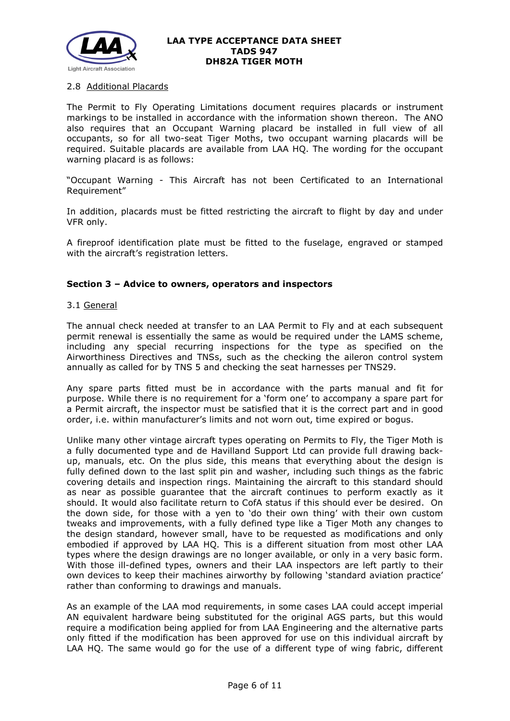

### 2.8 Additional Placards

The Permit to Fly Operating Limitations document requires placards or instrument markings to be installed in accordance with the information shown thereon. The ANO also requires that an Occupant Warning placard be installed in full view of all occupants, so for all two-seat Tiger Moths, two occupant warning placards will be required. Suitable placards are available from LAA HQ. The wording for the occupant warning placard is as follows:

"Occupant Warning - This Aircraft has not been Certificated to an International Requirement"

In addition, placards must be fitted restricting the aircraft to flight by day and under VFR only.

A fireproof identification plate must be fitted to the fuselage, engraved or stamped with the aircraft's registration letters.

### **Section 3 – Advice to owners, operators and inspectors**

#### 3.1 General

The annual check needed at transfer to an LAA Permit to Fly and at each subsequent permit renewal is essentially the same as would be required under the LAMS scheme, including any special recurring inspections for the type as specified on the Airworthiness Directives and TNSs, such as the checking the aileron control system annually as called for by TNS 5 and checking the seat harnesses per TNS29.

Any spare parts fitted must be in accordance with the parts manual and fit for purpose. While there is no requirement for a 'form one' to accompany a spare part for a Permit aircraft, the inspector must be satisfied that it is the correct part and in good order, i.e. within manufacturer's limits and not worn out, time expired or bogus.

Unlike many other vintage aircraft types operating on Permits to Fly, the Tiger Moth is a fully documented type and de Havilland Support Ltd can provide full drawing backup, manuals, etc. On the plus side, this means that everything about the design is fully defined down to the last split pin and washer, including such things as the fabric covering details and inspection rings. Maintaining the aircraft to this standard should as near as possible guarantee that the aircraft continues to perform exactly as it should. It would also facilitate return to CofA status if this should ever be desired. On the down side, for those with a yen to 'do their own thing' with their own custom tweaks and improvements, with a fully defined type like a Tiger Moth any changes to the design standard, however small, have to be requested as modifications and only embodied if approved by LAA HQ. This is a different situation from most other LAA types where the design drawings are no longer available, or only in a very basic form. With those ill-defined types, owners and their LAA inspectors are left partly to their own devices to keep their machines airworthy by following 'standard aviation practice' rather than conforming to drawings and manuals.

As an example of the LAA mod requirements, in some cases LAA could accept imperial AN equivalent hardware being substituted for the original AGS parts, but this would require a modification being applied for from LAA Engineering and the alternative parts only fitted if the modification has been approved for use on this individual aircraft by LAA HQ. The same would go for the use of a different type of wing fabric, different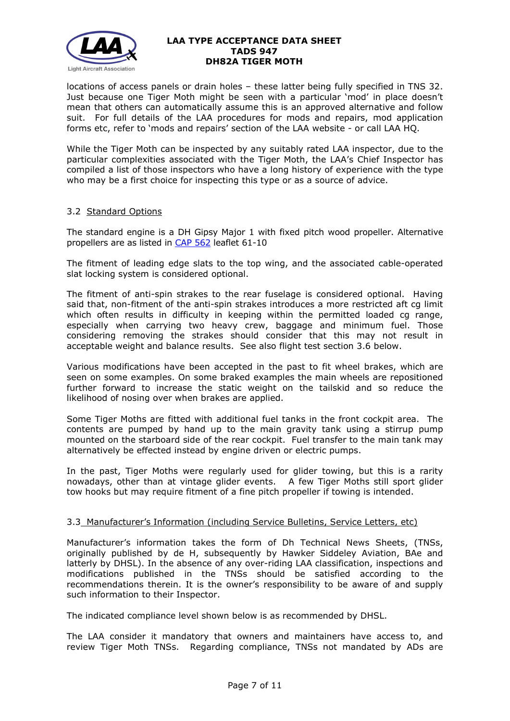

locations of access panels or drain holes – these latter being fully specified in TNS 32. Just because one Tiger Moth might be seen with a particular 'mod' in place doesn't mean that others can automatically assume this is an approved alternative and follow suit. For full details of the LAA procedures for mods and repairs, mod application forms etc, refer to 'mods and repairs' section of the LAA website - or call LAA HQ.

While the Tiger Moth can be inspected by any suitably rated LAA inspector, due to the particular complexities associated with the Tiger Moth, the LAA's Chief Inspector has compiled a list of those inspectors who have a long history of experience with the type who may be a first choice for inspecting this type or as a source of advice.

### 3.2 Standard Options

The standard engine is a DH Gipsy Major 1 with fixed pitch wood propeller. Alternative propellers are as listed in [CAP 562](http://www.caa.co.uk/docs/33/CAP562RFS.pdf) leaflet 61-10

The fitment of leading edge slats to the top wing, and the associated cable-operated slat locking system is considered optional.

The fitment of anti-spin strakes to the rear fuselage is considered optional. Having said that, non-fitment of the anti-spin strakes introduces a more restricted aft cg limit which often results in difficulty in keeping within the permitted loaded cg range, especially when carrying two heavy crew, baggage and minimum fuel. Those considering removing the strakes should consider that this may not result in acceptable weight and balance results. See also flight test section 3.6 below.

Various modifications have been accepted in the past to fit wheel brakes, which are seen on some examples. On some braked examples the main wheels are repositioned further forward to increase the static weight on the tailskid and so reduce the likelihood of nosing over when brakes are applied.

Some Tiger Moths are fitted with additional fuel tanks in the front cockpit area. The contents are pumped by hand up to the main gravity tank using a stirrup pump mounted on the starboard side of the rear cockpit. Fuel transfer to the main tank may alternatively be effected instead by engine driven or electric pumps.

In the past, Tiger Moths were regularly used for glider towing, but this is a rarity nowadays, other than at vintage glider events. A few Tiger Moths still sport glider tow hooks but may require fitment of a fine pitch propeller if towing is intended.

### 3.3 Manufacturer's Information (including Service Bulletins, Service Letters, etc)

Manufacturer's information takes the form of Dh Technical News Sheets, (TNSs, originally published by de H, subsequently by Hawker Siddeley Aviation, BAe and latterly by DHSL). In the absence of any over-riding LAA classification, inspections and modifications published in the TNSs should be satisfied according to the recommendations therein. It is the owner's responsibility to be aware of and supply such information to their Inspector.

The indicated compliance level shown below is as recommended by DHSL.

The LAA consider it mandatory that owners and maintainers have access to, and review Tiger Moth TNSs. Regarding compliance, TNSs not mandated by ADs are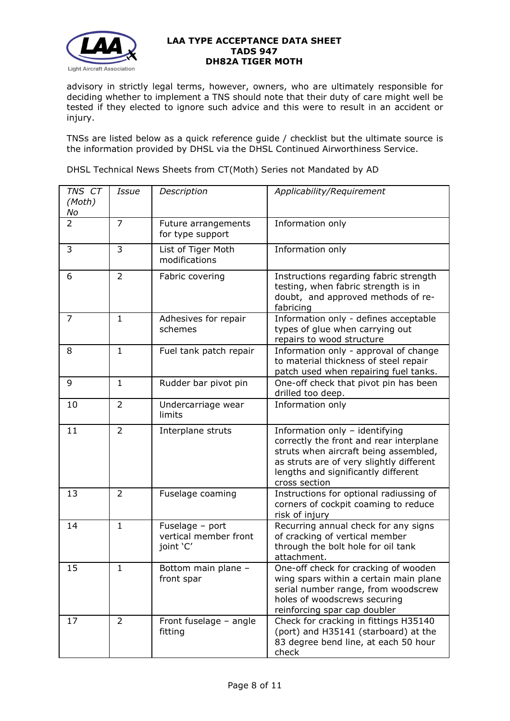

advisory in strictly legal terms, however, owners, who are ultimately responsible for deciding whether to implement a TNS should note that their duty of care might well be tested if they elected to ignore such advice and this were to result in an accident or injury.

TNSs are listed below as a quick reference guide / checklist but the ultimate source is the information provided by DHSL via the DHSL Continued Airworthiness Service.

| TNS CT<br>(Moth)<br>No | <b>Issue</b>   | Description                                           | Applicability/Requirement                                                                                                                                                                                              |
|------------------------|----------------|-------------------------------------------------------|------------------------------------------------------------------------------------------------------------------------------------------------------------------------------------------------------------------------|
| $\overline{2}$         | $\overline{7}$ | Future arrangements<br>for type support               | Information only                                                                                                                                                                                                       |
| 3                      | 3              | List of Tiger Moth<br>modifications                   | Information only                                                                                                                                                                                                       |
| 6                      | $\overline{2}$ | Fabric covering                                       | Instructions regarding fabric strength<br>testing, when fabric strength is in<br>doubt, and approved methods of re-<br>fabricing                                                                                       |
| $\overline{7}$         | $\mathbf{1}$   | Adhesives for repair<br>schemes                       | Information only - defines acceptable<br>types of glue when carrying out<br>repairs to wood structure                                                                                                                  |
| 8                      | $\mathbf{1}$   | Fuel tank patch repair                                | Information only - approval of change<br>to material thickness of steel repair<br>patch used when repairing fuel tanks.                                                                                                |
| 9                      | $\mathbf{1}$   | Rudder bar pivot pin                                  | One-off check that pivot pin has been<br>drilled too deep.                                                                                                                                                             |
| 10                     | $\overline{2}$ | Undercarriage wear<br>limits                          | Information only                                                                                                                                                                                                       |
| 11                     | $\overline{2}$ | Interplane struts                                     | Information only - identifying<br>correctly the front and rear interplane<br>struts when aircraft being assembled,<br>as struts are of very slightly different<br>lengths and significantly different<br>cross section |
| 13                     | $\overline{2}$ | Fuselage coaming                                      | Instructions for optional radiussing of<br>corners of cockpit coaming to reduce<br>risk of injury                                                                                                                      |
| 14                     | $\mathbf{1}$   | Fuselage - port<br>vertical member front<br>joint 'C' | Recurring annual check for any signs<br>of cracking of vertical member<br>through the bolt hole for oil tank<br>attachment.                                                                                            |
| 15                     | $\mathbf{1}$   | Bottom main plane -<br>front spar                     | One-off check for cracking of wooden<br>wing spars within a certain main plane<br>serial number range, from woodscrew<br>holes of woodscrews securing<br>reinforcing spar cap doubler                                  |
| 17                     | $\overline{2}$ | Front fuselage - angle<br>fitting                     | Check for cracking in fittings H35140<br>(port) and H35141 (starboard) at the<br>83 degree bend line, at each 50 hour<br>check                                                                                         |

DHSL Technical News Sheets from CT(Moth) Series not Mandated by AD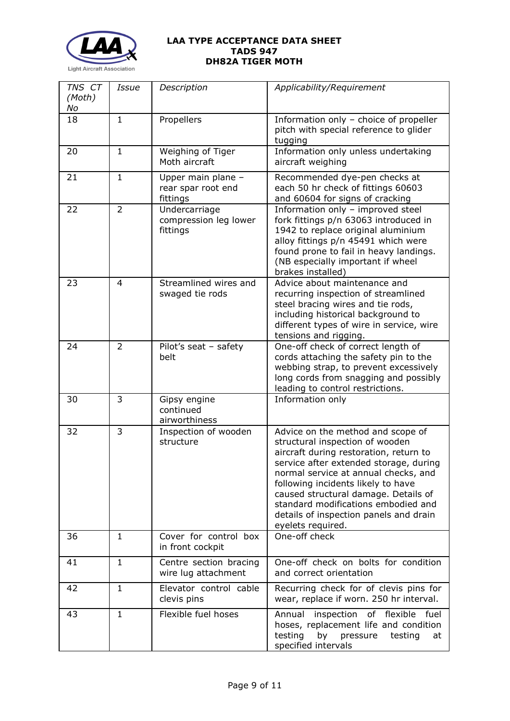

| TNS CT<br>(Moth) | <b>Issue</b>   | Description                                          | Applicability/Requirement                                                                                                                                                                                                                                                                                                                                                            |
|------------------|----------------|------------------------------------------------------|--------------------------------------------------------------------------------------------------------------------------------------------------------------------------------------------------------------------------------------------------------------------------------------------------------------------------------------------------------------------------------------|
| No<br>18         | $\mathbf{1}$   | Propellers                                           | Information only - choice of propeller<br>pitch with special reference to glider<br>tugging                                                                                                                                                                                                                                                                                          |
| 20               | $\mathbf{1}$   | Weighing of Tiger<br>Moth aircraft                   | Information only unless undertaking<br>aircraft weighing                                                                                                                                                                                                                                                                                                                             |
| 21               | $\mathbf{1}$   | Upper main plane -<br>rear spar root end<br>fittings | Recommended dye-pen checks at<br>each 50 hr check of fittings 60603<br>and 60604 for signs of cracking                                                                                                                                                                                                                                                                               |
| 22               | $\overline{2}$ | Undercarriage<br>compression leg lower<br>fittings   | Information only - improved steel<br>fork fittings p/n 63063 introduced in<br>1942 to replace original aluminium<br>alloy fittings p/n 45491 which were<br>found prone to fail in heavy landings.<br>(NB especially important if wheel<br>brakes installed)                                                                                                                          |
| 23               | $\overline{4}$ | Streamlined wires and<br>swaged tie rods             | Advice about maintenance and<br>recurring inspection of streamlined<br>steel bracing wires and tie rods,<br>including historical background to<br>different types of wire in service, wire<br>tensions and rigging.                                                                                                                                                                  |
| 24               | $\overline{2}$ | Pilot's seat - safety<br>belt                        | One-off check of correct length of<br>cords attaching the safety pin to the<br>webbing strap, to prevent excessively<br>long cords from snagging and possibly<br>leading to control restrictions.                                                                                                                                                                                    |
| 30               | 3              | Gipsy engine<br>continued<br>airworthiness           | Information only                                                                                                                                                                                                                                                                                                                                                                     |
| 32               | 3              | Inspection of wooden<br>structure                    | Advice on the method and scope of<br>structural inspection of wooden<br>aircraft during restoration, return to<br>service after extended storage, during<br>normal service at annual checks, and<br>following incidents likely to have<br>caused structural damage. Details of<br>standard modifications embodied and<br>details of inspection panels and drain<br>eyelets required. |
| 36               | $\mathbf{1}$   | Cover for control box<br>in front cockpit            | One-off check                                                                                                                                                                                                                                                                                                                                                                        |
| 41               | $\mathbf{1}$   | Centre section bracing<br>wire lug attachment        | One-off check on bolts for condition<br>and correct orientation                                                                                                                                                                                                                                                                                                                      |
| 42               | $\mathbf{1}$   | Elevator control cable<br>clevis pins                | Recurring check for of clevis pins for<br>wear, replace if worn. 250 hr interval.                                                                                                                                                                                                                                                                                                    |
| 43               | $\mathbf{1}$   | Flexible fuel hoses                                  | Annual inspection of flexible<br>fuel<br>hoses, replacement life and condition<br>testing<br>pressure<br>by<br>testing<br>at<br>specified intervals                                                                                                                                                                                                                                  |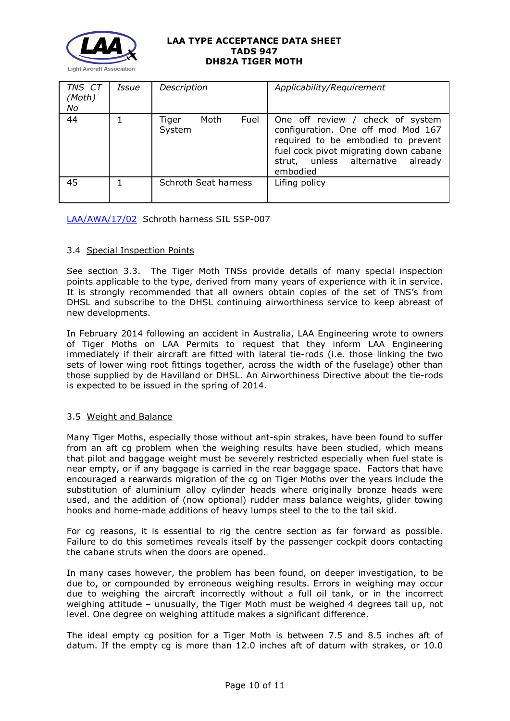

| TNS CT<br>(Moth)<br>No | Issue | Description                     | Applicability/Requirement                                                                                                                                                                                 |
|------------------------|-------|---------------------------------|-----------------------------------------------------------------------------------------------------------------------------------------------------------------------------------------------------------|
| 44                     |       | Moth<br>Fuel<br>Tiger<br>System | One off review / check of system<br>configuration. One off mod Mod 167<br>required to be embodied to prevent<br>fuel cock pivot migrating down cabane<br>strut, unless alternative<br>already<br>embodied |
| 45                     |       | Schroth Seat harness            | Lifing policy                                                                                                                                                                                             |

[LAA/AWA/17/02](http://www.lightaircraftassociation.co.uk/engineering/TADs/947/AWA%20-%2017-02%20-%20Schroth%20Harness.pdf) Schroth harness SIL SSP-007

# 3.4 Special Inspection Points

See section 3.3. The Tiger Moth TNSs provide details of many special inspection points applicable to the type, derived from many years of experience with it in service. It is strongly recommended that all owners obtain copies of the set of TNS's from DHSL and subscribe to the DHSL continuing airworthiness service to keep abreast of new developments.

In February 2014 following an accident in Australia, LAA Engineering wrote to owners of Tiger Moths on LAA Permits to request that they inform LAA Engineering immediately if their aircraft are fitted with lateral tie-rods (i.e. those linking the two sets of lower wing root fittings together, across the width of the fuselage) other than those supplied by de Havilland or DHSL. An Airworthiness Directive about the tie-rods is expected to be issued in the spring of 2014.

### 3.5 Weight and Balance

Many Tiger Moths, especially those without ant-spin strakes, have been found to suffer from an aft cg problem when the weighing results have been studied, which means that pilot and baggage weight must be severely restricted especially when fuel state is near empty, or if any baggage is carried in the rear baggage space. Factors that have encouraged a rearwards migration of the cg on Tiger Moths over the years include the substitution of aluminium alloy cylinder heads where originally bronze heads were used, and the addition of (now optional) rudder mass balance weights, glider towing hooks and home-made additions of heavy lumps steel to the to the tail skid.

For cg reasons, it is essential to rig the centre section as far forward as possible. Failure to do this sometimes reveals itself by the passenger cockpit doors contacting the cabane struts when the doors are opened.

In many cases however, the problem has been found, on deeper investigation, to be due to, or compounded by erroneous weighing results. Errors in weighing may occur due to weighing the aircraft incorrectly without a full oil tank, or in the incorrect weighing attitude – unusually, the Tiger Moth must be weighed 4 degrees tail up, not level. One degree on weighing attitude makes a significant difference.

The ideal empty cg position for a Tiger Moth is between 7.5 and 8.5 inches aft of datum. If the empty cg is more than 12.0 inches aft of datum with strakes, or 10.0